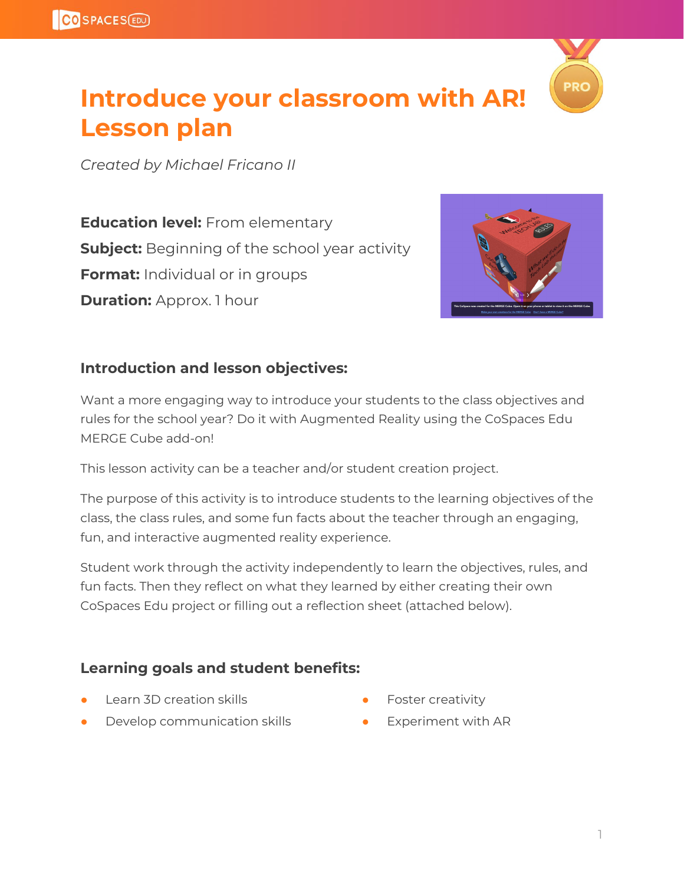

### **Introduce your classroom with AR! Lesson plan**

*Created by Michael Fricano II*

**Education level:** From elementary **Subject:** Beginning of the school year activity **Format:** Individual or in groups **Duration:** Approx. 1 hour



#### **Introduction and lesson objectives:**

Want a more engaging way to introduce your students to the class objectives and rules for the school year? Do it with Augmented Reality using the CoSpaces Edu MERGE Cube add-on!

This lesson activity can be a teacher and/or student creation project.

The purpose of this activity is to introduce students to the learning objectives of the class, the class rules, and some fun facts about the teacher through an engaging, fun, and interactive augmented reality experience.

Student work through the activity independently to learn the objectives, rules, and fun facts. Then they reflect on what they learned by either creating their own CoSpaces Edu project or filling out a reflection sheet (attached below).

#### **Learning goals and student benefits:**

- **Learn 3D creation skills**
- Develop communication skills
- Foster creativity
- Experiment with AR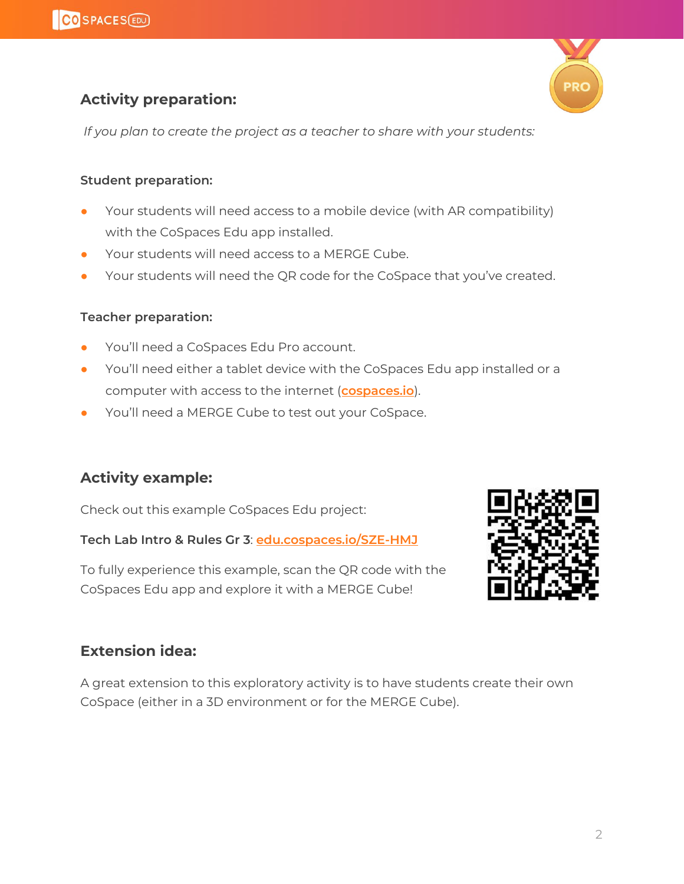

#### **Activity preparation:**

*If you plan to create the project as a teacher to share with your students:*

#### **Student preparation:**

- **●** Your students will need access to a mobile device (with AR compatibility) with the CoSpaces Edu app installed.
- **●** Your students will need access to a MERGE Cube.
- Your students will need the QR code for the CoSpace that you've created.

#### **Teacher preparation:**

- You'll need a CoSpaces Edu Pro account.
- You'll need either a tablet device with the CoSpaces Edu app installed or a computer with access to the internet (**[cospaces.io](http://cospaces.io/)**).
- You'll need a MERGE Cube to test out your CoSpace.

#### **Activity example:**

Check out this example CoSpaces Edu project:

**Tech Lab Intro & Rules Gr 3**: **[edu.cospaces.io/SZE-HMJ](https://edu.cospaces.io/SZE-HMJ)**

To fully experience this example, scan the QR code with the CoSpaces Edu app and explore it with a MERGE Cube!



#### **Extension idea:**

A great extension to this exploratory activity is to have students create their own CoSpace (either in a 3D environment or for the MERGE Cube).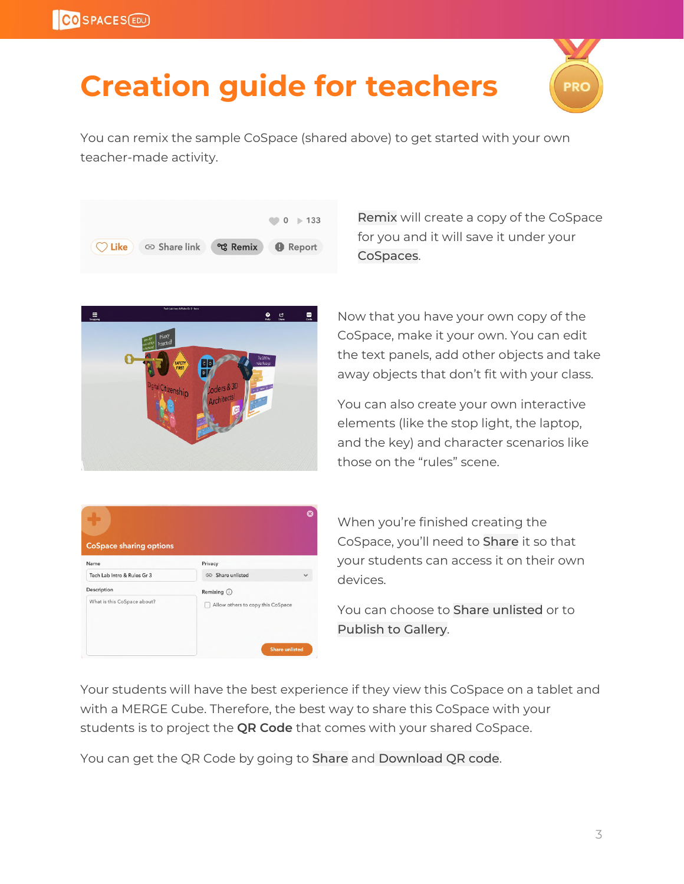# **Creation guide for teachers**



You can remix the sample CoSpace (shared above) to get started with your own teacher-made activity.



Remix will create a copy of the CoSpace for you and it will save it under your CoSpaces.



Now that you have your own copy of the CoSpace, make it your own. You can edit the text panels, add other objects and take away objects that don't fit with your class.

You can also create your own interactive elements (like the stop light, the laptop, and the key) and character scenarios like those on the "rules" scene.

| <b>CoSpace sharing options</b><br>Name     | Privacy                                           |
|--------------------------------------------|---------------------------------------------------|
| Tech Lab Intro & Rules Gr 3                | GD Share unlisted                                 |
| Description<br>What is this CoSpace about? | Remixing (i)<br>Allow others to copy this CoSpace |
|                                            | <b>Share unlisted</b>                             |

When you're finished creating the CoSpace, you'll need to Share it so that your students can access it on their own devices.

You can choose to Share unlisted or to Publish to Gallery.

Your students will have the best experience if they view this CoSpace on a tablet and with a MERGE Cube. Therefore, the best way to share this CoSpace with your students is to project the **QR Code** that comes with your shared CoSpace.

You can get the QR Code by going to Share and Download QR code.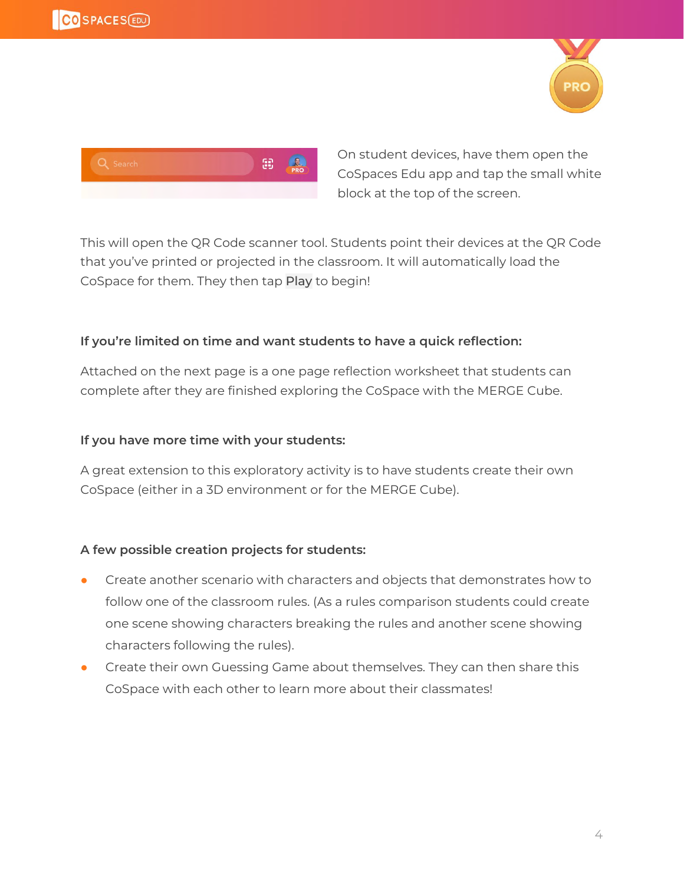



On student devices, have them open the CoSpaces Edu app and tap the small white block at the top of the screen.

This will open the QR Code scanner tool. Students point their devices at the QR Code that you've printed or projected in the classroom. It will automatically load the CoSpace for them. They then tap Play to begin!

#### **If you're limited on time and want students to have a quick reflection:**

Attached on the next page is a one page reflection worksheet that students can complete after they are finished exploring the CoSpace with the MERGE Cube.

#### **If you have more time with your students:**

A great extension to this exploratory activity is to have students create their own CoSpace (either in a 3D environment or for the MERGE Cube).

#### **A few possible creation projects for students:**

- **●** Create another scenario with characters and objects that demonstrates how to follow one of the classroom rules. (As a rules comparison students could create one scene showing characters breaking the rules and another scene showing characters following the rules).
- **●** Create their own Guessing Game about themselves. They can then share this CoSpace with each other to learn more about their classmates!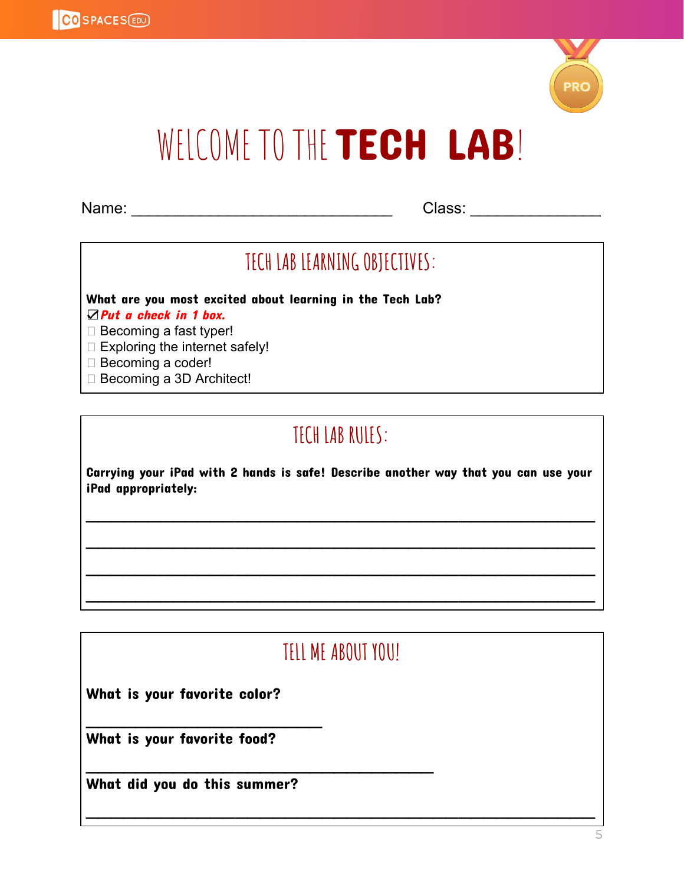

# WELCOME TO THE TECH LAB!

Name: \_\_\_\_\_\_\_\_\_\_\_\_\_\_\_\_\_\_\_\_\_\_\_\_\_\_\_\_\_\_ Class: \_\_\_\_\_\_\_\_\_\_\_\_\_\_\_

### **TECH LAB LEARNINGOBJECTIVES:**

What are you most excited about learning in the Tech Lab?

☑Put a check in 1 box.

 $\Box$  Becoming a fast typer!

- $\Box$  Exploring the internet safely!
- □ Becoming a coder!
- □ Becoming a 3D Architect!

### **TECH LAB RULES:**

Carrying your iPad with 2 hands is safe! Describe another way that you can use your iPad appropriately:

 $\mathcal{L}_\mathcal{L} = \mathcal{L}_\mathcal{L} = \mathcal{L}_\mathcal{L} = \mathcal{L}_\mathcal{L} = \mathcal{L}_\mathcal{L} = \mathcal{L}_\mathcal{L} = \mathcal{L}_\mathcal{L} = \mathcal{L}_\mathcal{L} = \mathcal{L}_\mathcal{L} = \mathcal{L}_\mathcal{L} = \mathcal{L}_\mathcal{L} = \mathcal{L}_\mathcal{L} = \mathcal{L}_\mathcal{L} = \mathcal{L}_\mathcal{L} = \mathcal{L}_\mathcal{L} = \mathcal{L}_\mathcal{L} = \mathcal{L}_\mathcal{L}$ 

 $\mathcal{L}_\mathcal{L} = \mathcal{L}_\mathcal{L} = \mathcal{L}_\mathcal{L} = \mathcal{L}_\mathcal{L} = \mathcal{L}_\mathcal{L} = \mathcal{L}_\mathcal{L} = \mathcal{L}_\mathcal{L} = \mathcal{L}_\mathcal{L} = \mathcal{L}_\mathcal{L} = \mathcal{L}_\mathcal{L} = \mathcal{L}_\mathcal{L} = \mathcal{L}_\mathcal{L} = \mathcal{L}_\mathcal{L} = \mathcal{L}_\mathcal{L} = \mathcal{L}_\mathcal{L} = \mathcal{L}_\mathcal{L} = \mathcal{L}_\mathcal{L}$ 

 $\mathcal{L}_\mathcal{L} = \mathcal{L}_\mathcal{L} = \mathcal{L}_\mathcal{L} = \mathcal{L}_\mathcal{L} = \mathcal{L}_\mathcal{L} = \mathcal{L}_\mathcal{L} = \mathcal{L}_\mathcal{L} = \mathcal{L}_\mathcal{L} = \mathcal{L}_\mathcal{L} = \mathcal{L}_\mathcal{L} = \mathcal{L}_\mathcal{L} = \mathcal{L}_\mathcal{L} = \mathcal{L}_\mathcal{L} = \mathcal{L}_\mathcal{L} = \mathcal{L}_\mathcal{L} = \mathcal{L}_\mathcal{L} = \mathcal{L}_\mathcal{L}$ 

 $\mathcal{L}_\mathcal{L} = \mathcal{L}_\mathcal{L} = \mathcal{L}_\mathcal{L} = \mathcal{L}_\mathcal{L} = \mathcal{L}_\mathcal{L} = \mathcal{L}_\mathcal{L} = \mathcal{L}_\mathcal{L} = \mathcal{L}_\mathcal{L} = \mathcal{L}_\mathcal{L} = \mathcal{L}_\mathcal{L} = \mathcal{L}_\mathcal{L} = \mathcal{L}_\mathcal{L} = \mathcal{L}_\mathcal{L} = \mathcal{L}_\mathcal{L} = \mathcal{L}_\mathcal{L} = \mathcal{L}_\mathcal{L} = \mathcal{L}_\mathcal{L}$ 

### **TELL ME ABOUT YOU!**

 $\mathcal{L}_\mathcal{L} = \mathcal{L}_\mathcal{L} = \mathcal{L}_\mathcal{L} = \mathcal{L}_\mathcal{L} = \mathcal{L}_\mathcal{L} = \mathcal{L}_\mathcal{L} = \mathcal{L}_\mathcal{L} = \mathcal{L}_\mathcal{L} = \mathcal{L}_\mathcal{L} = \mathcal{L}_\mathcal{L} = \mathcal{L}_\mathcal{L} = \mathcal{L}_\mathcal{L} = \mathcal{L}_\mathcal{L} = \mathcal{L}_\mathcal{L} = \mathcal{L}_\mathcal{L} = \mathcal{L}_\mathcal{L} = \mathcal{L}_\mathcal{L}$ 

What is your favorite color?

What is your favorite food?

What did you do this summer?

 $\mathcal{L}_\text{max}$  , where  $\mathcal{L}_\text{max}$ 

 $\mathcal{L}_\text{max}$  , and the contract of the contract of the contract of the contract of the contract of the contract of the contract of the contract of the contract of the contract of the contract of the contract of the contr